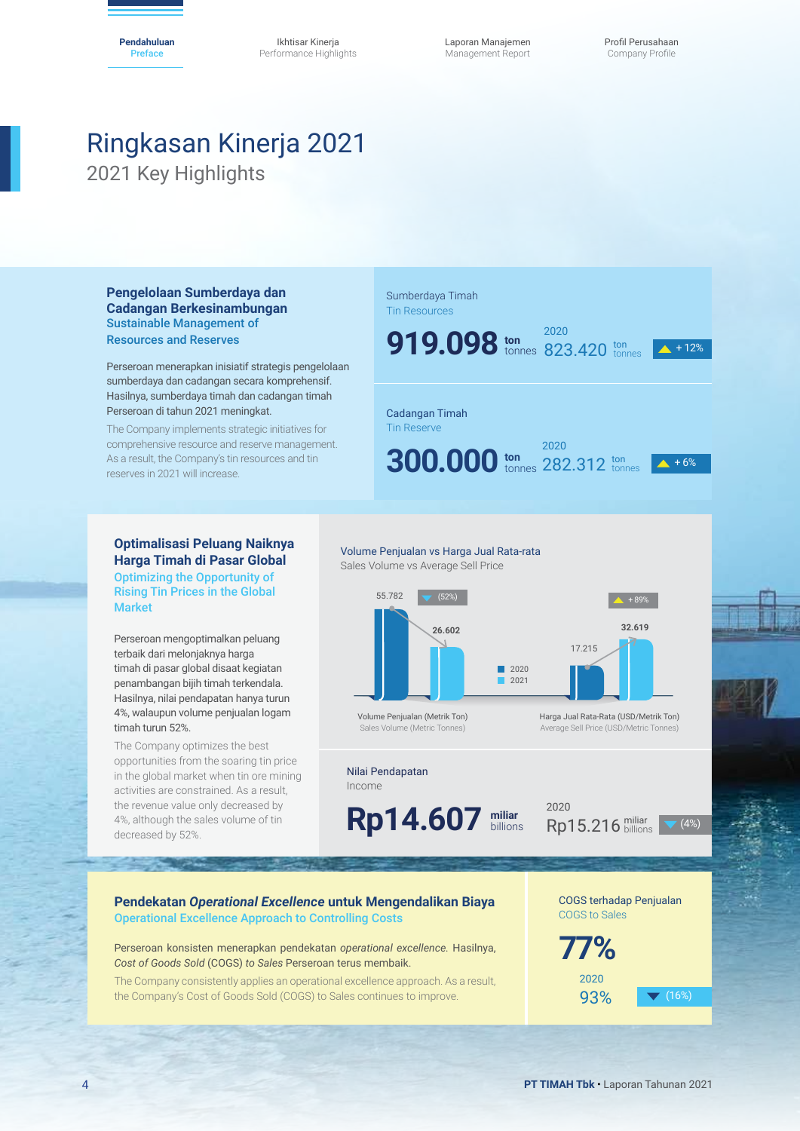Ikhtisar Kinerja Performance Highlights Laporan Manajemen Management Report

# Ringkasan Kinerja 2021 2021 Key Highlights

**Pengelolaan Sumberdaya dan Cadangan Berkesinambungan** Sustainable Management of Resources and Reserves

Perseroan menerapkan inisiatif strategis pengelolaan sumberdaya dan cadangan secara komprehensif. Hasilnya, sumberdaya timah dan cadangan timah Perseroan di tahun 2021 meningkat.

The Company implements strategic initiatives for comprehensive resource and reserve management. As a result, the Company's tin resources and tin reserves in 2021 will increase.

#### Sumberdaya Timah Tin Resources

**ton 919.098** tonnes 823.420 ton

 $\triangle$  + 12%

# Cadangan Timah

Tin Reserve

**300.000** tonnes 282.312 tonnes  $\overline{4 + 6\%}$ 

**ton**

2021



#### **Optimalisasi Peluang Naiknya Harga Timah di Pasar Global** Optimizing the Opportunity of Rising Tin Prices in the Global Market

Perseroan mengoptimalkan peluang terbaik dari melonjaknya harga timah di pasar global disaat kegiatan penambangan bijih timah terkendala. Hasilnya, nilai pendapatan hanya turun 4%, walaupun volume penjualan logam timah turun 52%.

The Company optimizes the best opportunities from the soaring tin price in the global market when tin ore mining activities are constrained. As a result, the revenue value only decreased by 4%, although the sales volume of tin decreased by 52%.

# Volume Penjualan vs Harga Jual Rata-rata

Sales Volume vs Average Sell Price



Volume Penjualan (Metrik Ton) Sales Volume (Metric Tonnes)

#### Nilai Pendapatan

Income

**miliar** billions **Rp14.607 milliar Rp**<sup>2020</sup>

 $Rp15.216$  miliar  $\sqrt{(4\%)}$ 

Harga Jual Rata-Rata (USD/Metrik Ton) Average Sell Price (USD/Metric Tonnes)

17.215

#### **Pendekatan** *Operational Excellence* **untuk Mengendalikan Biaya** Operational Excellence Approach to Controlling Costs

Perseroan konsisten menerapkan pendekatan *operational excellence.* Hasilnya, *Cost of Goods Sold* (COGS) *to Sales* Perseroan terus membaik.

The Company consistently applies an operational excellence approach. As a result, the Company's Cost of Goods Sold (COGS) to Sales continues to improve.

COGS terhadap Penjualan COGS to Sales

93% **v** (16%)

**77%** 2020

4 **PT TIMAH Tbk** • Laporan Tahunan 2021